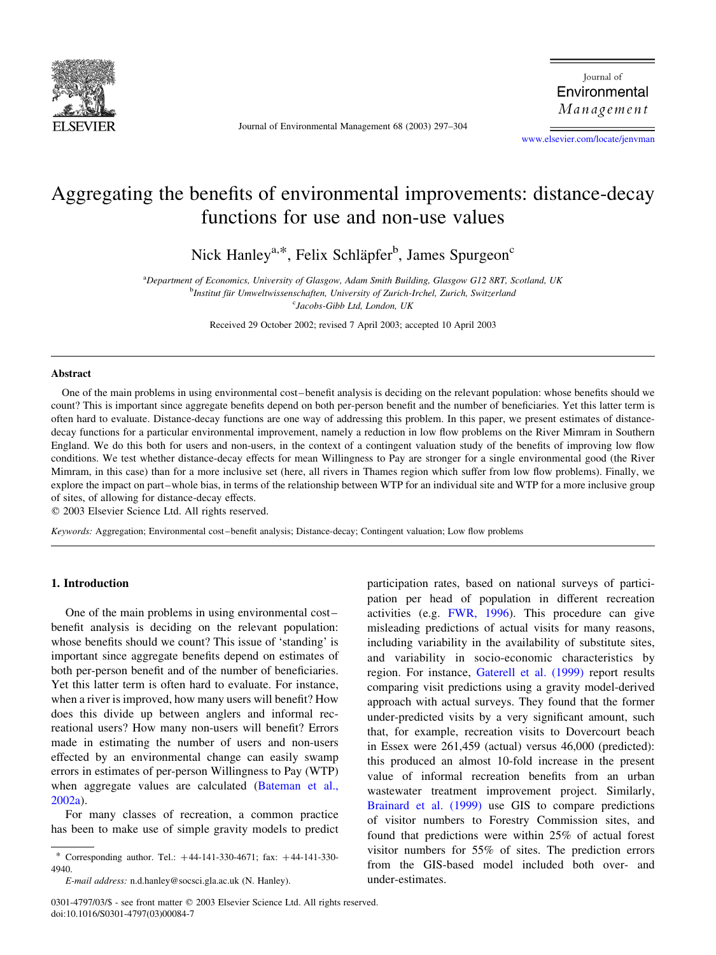

Journal of Environmental Management 68 (2003) 297–304

Journal of Environmental Management

[www.elsevier.com/locate/jenvman](http://www.elsevier.com/locate/jenvman)

# Aggregating the benefits of environmental improvements: distance-decay functions for use and non-use values

Nick Hanley<sup>a,\*</sup>, Felix Schläpfer<sup>b</sup>, James Spurgeon<sup>c</sup>

<sup>a</sup>Department of Economics, University of Glasgow, Adam Smith Building, Glasgow G12 8RT, Scotland, UK <sup>b</sup>Institut für Umweltwissenschaften, University of Zurich-Irchel, Zurich, Switzerland <sup>c</sup>Jacobs-Gibb Ltd, London, UK

Received 29 October 2002; revised 7 April 2003; accepted 10 April 2003

#### Abstract

One of the main problems in using environmental cost – benefit analysis is deciding on the relevant population: whose benefits should we count? This is important since aggregate benefits depend on both per-person benefit and the number of beneficiaries. Yet this latter term is often hard to evaluate. Distance-decay functions are one way of addressing this problem. In this paper, we present estimates of distancedecay functions for a particular environmental improvement, namely a reduction in low flow problems on the River Mimram in Southern England. We do this both for users and non-users, in the context of a contingent valuation study of the benefits of improving low flow conditions. We test whether distance-decay effects for mean Willingness to Pay are stronger for a single environmental good (the River Mimram, in this case) than for a more inclusive set (here, all rivers in Thames region which suffer from low flow problems). Finally, we explore the impact on part –whole bias, in terms of the relationship between WTP for an individual site and WTP for a more inclusive group of sites, of allowing for distance-decay effects.

 $Q$  2003 Elsevier Science Ltd. All rights reserved.

Keywords: Aggregation; Environmental cost –benefit analysis; Distance-decay; Contingent valuation; Low flow problems

# 1. Introduction

One of the main problems in using environmental cost – benefit analysis is deciding on the relevant population: whose benefits should we count? This issue of 'standing' is important since aggregate benefits depend on estimates of both per-person benefit and of the number of beneficiaries. Yet this latter term is often hard to evaluate. For instance, when a river is improved, how many users will benefit? How does this divide up between anglers and informal recreational users? How many non-users will benefit? Errors made in estimating the number of users and non-users effected by an environmental change can easily swamp errors in estimates of per-person Willingness to Pay (WTP) when aggregate values are calculated ([Bateman et al.,](#page-7-0) [2002a\)](#page-7-0).

For many classes of recreation, a common practice has been to make use of simple gravity models to predict participation rates, based on national surveys of participation per head of population in different recreation activities (e.g. [FWR, 1996](#page-7-0)). This procedure can give misleading predictions of actual visits for many reasons, including variability in the availability of substitute sites, and variability in socio-economic characteristics by region. For instance, [Gaterell et al. \(1999\)](#page-7-0) report results comparing visit predictions using a gravity model-derived approach with actual surveys. They found that the former under-predicted visits by a very significant amount, such that, for example, recreation visits to Dovercourt beach in Essex were 261,459 (actual) versus 46,000 (predicted): this produced an almost 10-fold increase in the present value of informal recreation benefits from an urban wastewater treatment improvement project. Similarly, [Brainard et al. \(1999\)](#page-7-0) use GIS to compare predictions of visitor numbers to Forestry Commission sites, and found that predictions were within 25% of actual forest visitor numbers for 55% of sites. The prediction errors from the GIS-based model included both over- and under-estimates.

<sup>\*</sup> Corresponding author. Tel.:  $+44-141-330-4671$ ; fax:  $+44-141-330-4671$ ; 4940.

E-mail address: n.d.hanley@socsci.gla.ac.uk (N. Hanley).

<sup>0301-4797/03/\$ -</sup> see front matter © 2003 Elsevier Science Ltd. All rights reserved. doi:10.1016/S0301-4797(03)00084-7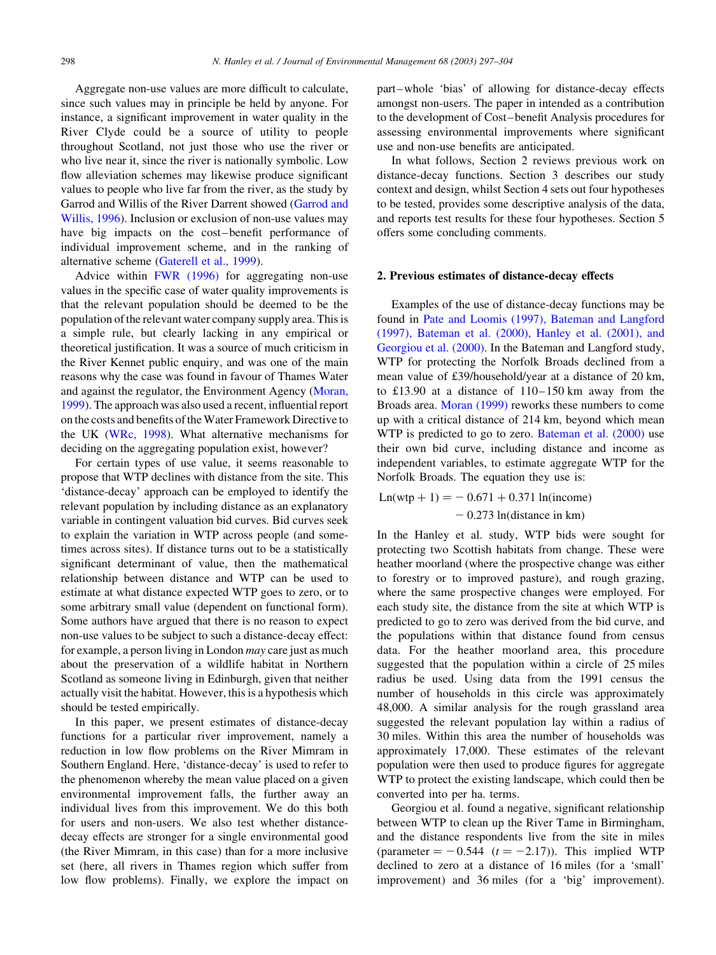Aggregate non-use values are more difficult to calculate, since such values may in principle be held by anyone. For instance, a significant improvement in water quality in the River Clyde could be a source of utility to people throughout Scotland, not just those who use the river or who live near it, since the river is nationally symbolic. Low flow alleviation schemes may likewise produce significant values to people who live far from the river, as the study by Garrod and Willis of the River Darrent showed ([Garrod and](#page-7-0) [Willis, 1996](#page-7-0)). Inclusion or exclusion of non-use values may have big impacts on the cost-benefit performance of individual improvement scheme, and in the ranking of alternative scheme [\(Gaterell et al., 1999](#page-7-0)).

Advice within [FWR \(1996\)](#page-7-0) for aggregating non-use values in the specific case of water quality improvements is that the relevant population should be deemed to be the population of the relevant water company supply area. This is a simple rule, but clearly lacking in any empirical or theoretical justification. It was a source of much criticism in the River Kennet public enquiry, and was one of the main reasons why the case was found in favour of Thames Water and against the regulator, the Environment Agency ([Moran,](#page-7-0) [1999\)](#page-7-0). The approach was also used a recent, influential report on the costs and benefits of theWater Framework Directive to the UK ([WRc, 1998\)](#page-7-0). What alternative mechanisms for deciding on the aggregating population exist, however?

For certain types of use value, it seems reasonable to propose that WTP declines with distance from the site. This 'distance-decay' approach can be employed to identify the relevant population by including distance as an explanatory variable in contingent valuation bid curves. Bid curves seek to explain the variation in WTP across people (and sometimes across sites). If distance turns out to be a statistically significant determinant of value, then the mathematical relationship between distance and WTP can be used to estimate at what distance expected WTP goes to zero, or to some arbitrary small value (dependent on functional form). Some authors have argued that there is no reason to expect non-use values to be subject to such a distance-decay effect: for example, a person living in London may care just as much about the preservation of a wildlife habitat in Northern Scotland as someone living in Edinburgh, given that neither actually visit the habitat. However, this is a hypothesis which should be tested empirically.

In this paper, we present estimates of distance-decay functions for a particular river improvement, namely a reduction in low flow problems on the River Mimram in Southern England. Here, 'distance-decay' is used to refer to the phenomenon whereby the mean value placed on a given environmental improvement falls, the further away an individual lives from this improvement. We do this both for users and non-users. We also test whether distancedecay effects are stronger for a single environmental good (the River Mimram, in this case) than for a more inclusive set (here, all rivers in Thames region which suffer from low flow problems). Finally, we explore the impact on

part–whole 'bias' of allowing for distance-decay effects amongst non-users. The paper in intended as a contribution to the development of Cost –benefit Analysis procedures for assessing environmental improvements where significant use and non-use benefits are anticipated.

In what follows, Section 2 reviews previous work on distance-decay functions. Section 3 describes our study context and design, whilst Section 4 sets out four hypotheses to be tested, provides some descriptive analysis of the data, and reports test results for these four hypotheses. Section 5 offers some concluding comments.

## 2. Previous estimates of distance-decay effects

Examples of the use of distance-decay functions may be found in [Pate and Loomis \(1997\), Bateman and Langford](#page-7-0) [\(1997\), Bateman et al. \(2000\), Hanley et al. \(2001\), and](#page-7-0) [Georgiou et al. \(2000\).](#page-7-0) In the Bateman and Langford study, WTP for protecting the Norfolk Broads declined from a mean value of £39/household/year at a distance of 20 km, to £13.90 at a distance of  $110-150$  km away from the Broads area. [Moran \(1999\)](#page-7-0) reworks these numbers to come up with a critical distance of 214 km, beyond which mean WTP is predicted to go to zero. [Bateman et al. \(2000\)](#page-7-0) use their own bid curve, including distance and income as independent variables, to estimate aggregate WTP for the Norfolk Broads. The equation they use is:

 $\text{Ln}(\text{wtp} + 1) = -0.671 + 0.371 \text{ ln}(\text{income})$  $-0.273$  ln(distance in km)

In the Hanley et al. study, WTP bids were sought for protecting two Scottish habitats from change. These were heather moorland (where the prospective change was either to forestry or to improved pasture), and rough grazing, where the same prospective changes were employed. For each study site, the distance from the site at which WTP is predicted to go to zero was derived from the bid curve, and the populations within that distance found from census data. For the heather moorland area, this procedure suggested that the population within a circle of 25 miles radius be used. Using data from the 1991 census the number of households in this circle was approximately 48,000. A similar analysis for the rough grassland area suggested the relevant population lay within a radius of 30 miles. Within this area the number of households was approximately 17,000. These estimates of the relevant population were then used to produce figures for aggregate WTP to protect the existing landscape, which could then be converted into per ha. terms.

Georgiou et al. found a negative, significant relationship between WTP to clean up the River Tame in Birmingham, and the distance respondents live from the site in miles (parameter  $= -0.544$   $(t = -2.17)$ ). This implied WTP declined to zero at a distance of 16 miles (for a 'small' improvement) and 36 miles (for a 'big' improvement).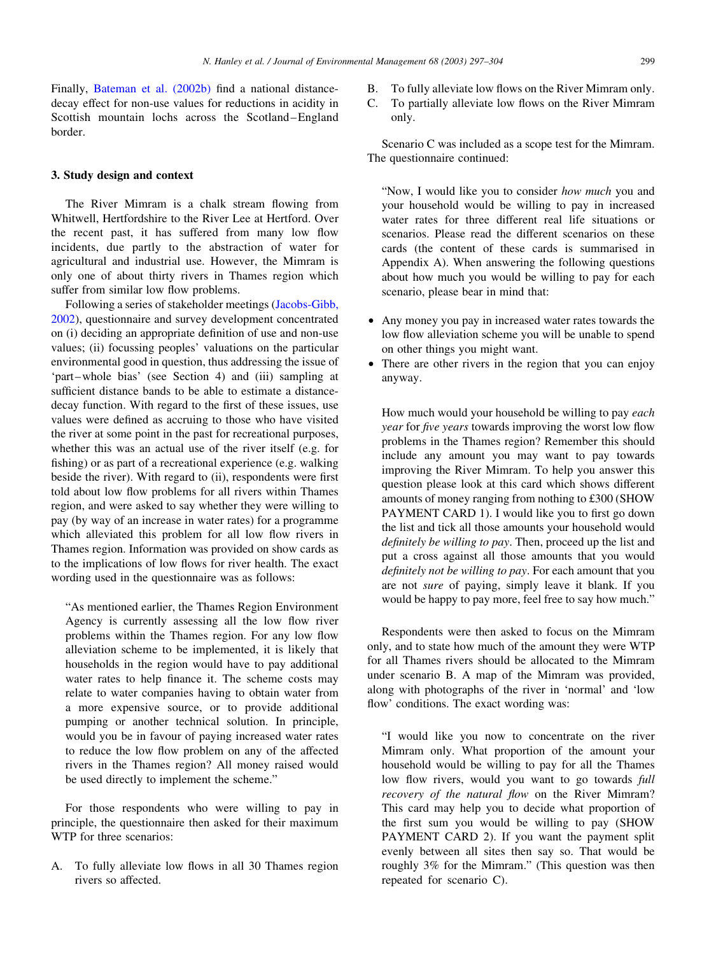Finally, [Bateman et al. \(2002b\)](#page-7-0) find a national distancedecay effect for non-use values for reductions in acidity in Scottish mountain lochs across the Scotland –England border.

# 3. Study design and context

The River Mimram is a chalk stream flowing from Whitwell, Hertfordshire to the River Lee at Hertford. Over the recent past, it has suffered from many low flow incidents, due partly to the abstraction of water for agricultural and industrial use. However, the Mimram is only one of about thirty rivers in Thames region which suffer from similar low flow problems.

Following a series of stakeholder meetings [\(Jacobs-Gibb,](#page-7-0) [2002](#page-7-0)), questionnaire and survey development concentrated on (i) deciding an appropriate definition of use and non-use values; (ii) focussing peoples' valuations on the particular environmental good in question, thus addressing the issue of 'part –whole bias' (see Section 4) and (iii) sampling at sufficient distance bands to be able to estimate a distancedecay function. With regard to the first of these issues, use values were defined as accruing to those who have visited the river at some point in the past for recreational purposes, whether this was an actual use of the river itself (e.g. for fishing) or as part of a recreational experience (e.g. walking beside the river). With regard to (ii), respondents were first told about low flow problems for all rivers within Thames region, and were asked to say whether they were willing to pay (by way of an increase in water rates) for a programme which alleviated this problem for all low flow rivers in Thames region. Information was provided on show cards as to the implications of low flows for river health. The exact wording used in the questionnaire was as follows:

"As mentioned earlier, the Thames Region Environment Agency is currently assessing all the low flow river problems within the Thames region. For any low flow alleviation scheme to be implemented, it is likely that households in the region would have to pay additional water rates to help finance it. The scheme costs may relate to water companies having to obtain water from a more expensive source, or to provide additional pumping or another technical solution. In principle, would you be in favour of paying increased water rates to reduce the low flow problem on any of the affected rivers in the Thames region? All money raised would be used directly to implement the scheme."

For those respondents who were willing to pay in principle, the questionnaire then asked for their maximum WTP for three scenarios:

A. To fully alleviate low flows in all 30 Thames region rivers so affected.

- B. To fully alleviate low flows on the River Mimram only.
- C. To partially alleviate low flows on the River Mimram only.

Scenario C was included as a scope test for the Mimram. The questionnaire continued:

"Now, I would like you to consider how much you and your household would be willing to pay in increased water rates for three different real life situations or scenarios. Please read the different scenarios on these cards (the content of these cards is summarised in Appendix A). When answering the following questions about how much you would be willing to pay for each scenario, please bear in mind that:

- Any money you pay in increased water rates towards the low flow alleviation scheme you will be unable to spend on other things you might want.
- There are other rivers in the region that you can enjoy anyway.

How much would your household be willing to pay each year for five years towards improving the worst low flow problems in the Thames region? Remember this should include any amount you may want to pay towards improving the River Mimram. To help you answer this question please look at this card which shows different amounts of money ranging from nothing to £300 (SHOW PAYMENT CARD 1). I would like you to first go down the list and tick all those amounts your household would definitely be willing to pay. Then, proceed up the list and put a cross against all those amounts that you would definitely not be willing to pay. For each amount that you are not sure of paying, simply leave it blank. If you would be happy to pay more, feel free to say how much."

Respondents were then asked to focus on the Mimram only, and to state how much of the amount they were WTP for all Thames rivers should be allocated to the Mimram under scenario B. A map of the Mimram was provided, along with photographs of the river in 'normal' and 'low flow' conditions. The exact wording was:

"I would like you now to concentrate on the river Mimram only. What proportion of the amount your household would be willing to pay for all the Thames low flow rivers, would you want to go towards *full* recovery of the natural flow on the River Mimram? This card may help you to decide what proportion of the first sum you would be willing to pay (SHOW PAYMENT CARD 2). If you want the payment split evenly between all sites then say so. That would be roughly 3% for the Mimram." (This question was then repeated for scenario C).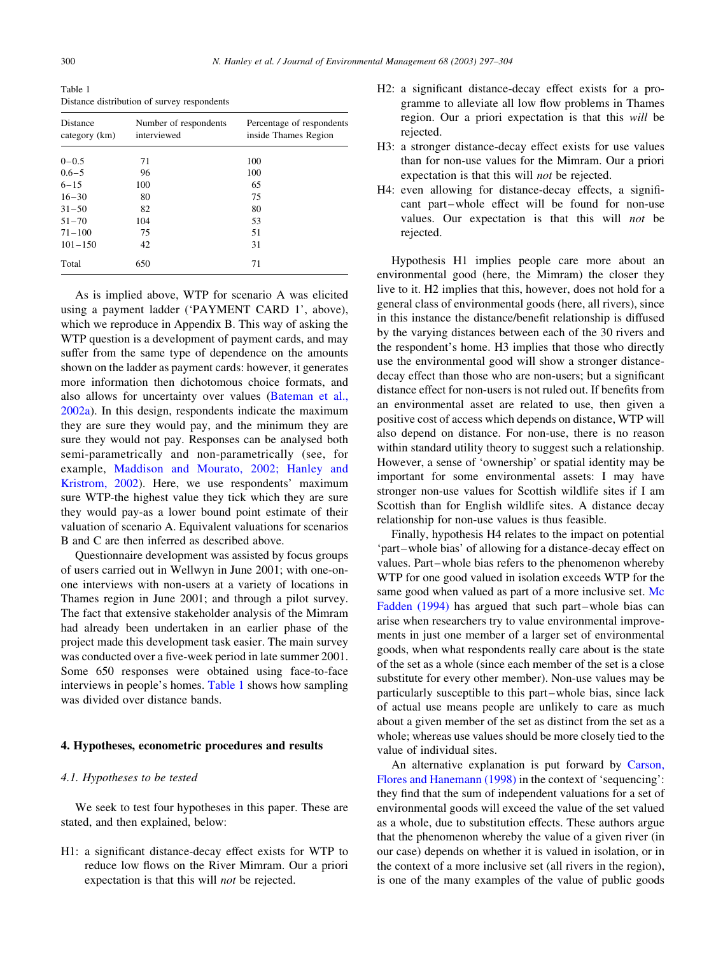Table 1 Distance distribution of survey respondents

| Distance<br>category (km) | Number of respondents<br>interviewed | Percentage of respondents<br>inside Thames Region |  |  |  |
|---------------------------|--------------------------------------|---------------------------------------------------|--|--|--|
| $0 - 0.5$                 | 71                                   | 100                                               |  |  |  |
| $0.6 - 5$                 | 96                                   | 100                                               |  |  |  |
| $6 - 15$                  | 100                                  | 65                                                |  |  |  |
| $16 - 30$                 | 80                                   | 75                                                |  |  |  |
| $31 - 50$                 | 82                                   | 80                                                |  |  |  |
| $51 - 70$                 | 104                                  | 53                                                |  |  |  |
| $71 - 100$                | 75                                   | 51                                                |  |  |  |
| $101 - 150$               | 42                                   | 31                                                |  |  |  |
| Total                     | 650                                  | 71                                                |  |  |  |

As is implied above, WTP for scenario A was elicited using a payment ladder ('PAYMENT CARD 1', above), which we reproduce in Appendix B. This way of asking the WTP question is a development of payment cards, and may suffer from the same type of dependence on the amounts shown on the ladder as payment cards: however, it generates more information then dichotomous choice formats, and also allows for uncertainty over values ([Bateman et al.,](#page-7-0) [2002a](#page-7-0)). In this design, respondents indicate the maximum they are sure they would pay, and the minimum they are sure they would not pay. Responses can be analysed both semi-parametrically and non-parametrically (see, for example, [Maddison and Mourato, 2002; Hanley and](#page-7-0) [Kristrom, 2002](#page-7-0)). Here, we use respondents' maximum sure WTP-the highest value they tick which they are sure they would pay-as a lower bound point estimate of their valuation of scenario A. Equivalent valuations for scenarios B and C are then inferred as described above.

Questionnaire development was assisted by focus groups of users carried out in Wellwyn in June 2001; with one-onone interviews with non-users at a variety of locations in Thames region in June 2001; and through a pilot survey. The fact that extensive stakeholder analysis of the Mimram had already been undertaken in an earlier phase of the project made this development task easier. The main survey was conducted over a five-week period in late summer 2001. Some 650 responses were obtained using face-to-face interviews in people's homes. [Table 1](#page-3-0) shows how sampling was divided over distance bands.

## 4. Hypotheses, econometric procedures and results

# 4.1. Hypotheses to be tested

We seek to test four hypotheses in this paper. These are stated, and then explained, below:

<span id="page-3-0"></span>H1: a significant distance-decay effect exists for WTP to reduce low flows on the River Mimram. Our a priori expectation is that this will not be rejected.

- H2: a significant distance-decay effect exists for a programme to alleviate all low flow problems in Thames region. Our a priori expectation is that this will be rejected.
- H3: a stronger distance-decay effect exists for use values than for non-use values for the Mimram. Our a priori expectation is that this will not be rejected.
- H4: even allowing for distance-decay effects, a significant part –whole effect will be found for non-use values. Our expectation is that this will not be rejected.

Hypothesis H1 implies people care more about an environmental good (here, the Mimram) the closer they live to it. H2 implies that this, however, does not hold for a general class of environmental goods (here, all rivers), since in this instance the distance/benefit relationship is diffused by the varying distances between each of the 30 rivers and the respondent's home. H3 implies that those who directly use the environmental good will show a stronger distancedecay effect than those who are non-users; but a significant distance effect for non-users is not ruled out. If benefits from an environmental asset are related to use, then given a positive cost of access which depends on distance, WTP will also depend on distance. For non-use, there is no reason within standard utility theory to suggest such a relationship. However, a sense of 'ownership' or spatial identity may be important for some environmental assets: I may have stronger non-use values for Scottish wildlife sites if I am Scottish than for English wildlife sites. A distance decay relationship for non-use values is thus feasible.

Finally, hypothesis H4 relates to the impact on potential 'part –whole bias' of allowing for a distance-decay effect on values. Part –whole bias refers to the phenomenon whereby WTP for one good valued in isolation exceeds WTP for the same good when valued as part of a more inclusive set. [Mc](#page-7-0) [Fadden \(1994\)](#page-7-0) has argued that such part-whole bias can arise when researchers try to value environmental improvements in just one member of a larger set of environmental goods, when what respondents really care about is the state of the set as a whole (since each member of the set is a close substitute for every other member). Non-use values may be particularly susceptible to this part –whole bias, since lack of actual use means people are unlikely to care as much about a given member of the set as distinct from the set as a whole; whereas use values should be more closely tied to the value of individual sites.

An alternative explanation is put forward by [Carson,](#page-7-0) [Flores and Hanemann \(1998\)](#page-7-0) in the context of 'sequencing': they find that the sum of independent valuations for a set of environmental goods will exceed the value of the set valued as a whole, due to substitution effects. These authors argue that the phenomenon whereby the value of a given river (in our case) depends on whether it is valued in isolation, or in the context of a more inclusive set (all rivers in the region), is one of the many examples of the value of public goods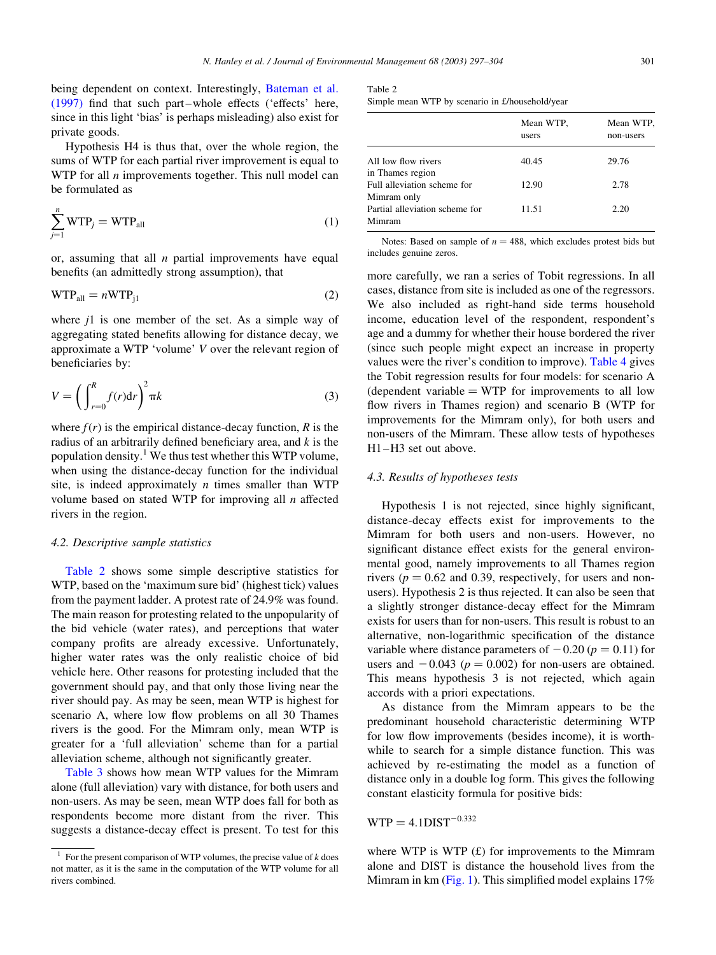being dependent on context. Interestingly, [Bateman et al.](#page-7-0) [\(1997\)](#page-7-0) find that such part –whole effects ('effects' here, since in this light 'bias' is perhaps misleading) also exist for private goods.

Hypothesis H4 is thus that, over the whole region, the sums of WTP for each partial river improvement is equal to WTP for all  $n$  improvements together. This null model can be formulated as

$$
\sum_{j=1}^{n} \text{WTP}_{j} = \text{WTP}_{\text{all}}
$$
 (1)

or, assuming that all  $n$  partial improvements have equal benefits (an admittedly strong assumption), that

$$
WTPall = nWTPj1
$$
 (2)

where *i*l is one member of the set. As a simple way of aggregating stated benefits allowing for distance decay, we approximate a WTP 'volume' V over the relevant region of beneficiaries by:

$$
V = \left(\int_{r=0}^{R} f(r) dr\right)^{2} \pi k
$$
 (3)

where  $f(r)$  is the empirical distance-decay function, R is the radius of an arbitrarily defined beneficiary area, and  $k$  is the population density.<sup>1</sup> We thus test whether this WTP volume, when using the distance-decay function for the individual site, is indeed approximately  $n$  times smaller than WTP volume based on stated WTP for improving all  $n$  affected rivers in the region.

# 4.2. Descriptive sample statistics

[Table 2](#page-4-0) shows some simple descriptive statistics for WTP, based on the 'maximum sure bid' (highest tick) values from the payment ladder. A protest rate of 24.9% was found. The main reason for protesting related to the unpopularity of the bid vehicle (water rates), and perceptions that water company profits are already excessive. Unfortunately, higher water rates was the only realistic choice of bid vehicle here. Other reasons for protesting included that the government should pay, and that only those living near the river should pay. As may be seen, mean WTP is highest for scenario A, where low flow problems on all 30 Thames rivers is the good. For the Mimram only, mean WTP is greater for a 'full alleviation' scheme than for a partial alleviation scheme, although not significantly greater.

[Table 3](#page-5-0) shows how mean WTP values for the Mimram alone (full alleviation) vary with distance, for both users and non-users. As may be seen, mean WTP does fall for both as respondents become more distant from the river. This suggests a distance-decay effect is present. To test for this

| Simple mean WTP by scenario in £/household/year |
|-------------------------------------------------|
|-------------------------------------------------|

|                                | Mean WTP,<br>users | Mean WTP,<br>non-users |
|--------------------------------|--------------------|------------------------|
| All low flow rivers            | 40.45              | 29.76                  |
| in Thames region               |                    |                        |
| Full alleviation scheme for    | 12.90              | 2.78                   |
| Mimram only                    |                    |                        |
| Partial alleviation scheme for | 11.51              | 2.20                   |
| Mimram                         |                    |                        |

Notes: Based on sample of  $n = 488$ , which excludes protest bids but includes genuine zeros.

more carefully, we ran a series of Tobit regressions. In all cases, distance from site is included as one of the regressors. We also included as right-hand side terms household income, education level of the respondent, respondent's age and a dummy for whether their house bordered the river (since such people might expect an increase in property values were the river's condition to improve). [Table 4](#page-5-0) gives the Tobit regression results for four models: for scenario A (dependent variable  $=$  WTP for improvements to all low flow rivers in Thames region) and scenario B (WTP for improvements for the Mimram only), for both users and non-users of the Mimram. These allow tests of hypotheses H1 –H3 set out above.

#### 4.3. Results of hypotheses tests

Hypothesis 1 is not rejected, since highly significant, distance-decay effects exist for improvements to the Mimram for both users and non-users. However, no significant distance effect exists for the general environmental good, namely improvements to all Thames region rivers ( $p = 0.62$  and 0.39, respectively, for users and nonusers). Hypothesis 2 is thus rejected. It can also be seen that a slightly stronger distance-decay effect for the Mimram exists for users than for non-users. This result is robust to an alternative, non-logarithmic specification of the distance variable where distance parameters of  $-0.20 (p = 0.11)$  for users and  $-0.043$  ( $p = 0.002$ ) for non-users are obtained. This means hypothesis 3 is not rejected, which again accords with a priori expectations.

As distance from the Mimram appears to be the predominant household characteristic determining WTP for low flow improvements (besides income), it is worthwhile to search for a simple distance function. This was achieved by re-estimating the model as a function of distance only in a double log form. This gives the following constant elasticity formula for positive bids:

 $WTP = 4.1$ DIST<sup> $-0.332$ </sup>

where WTP is WTP  $(E)$  for improvements to the Mimram alone and DIST is distance the household lives from the Mimram in km ([Fig. 1\)](#page-5-0). This simplified model explains 17%

<span id="page-4-0"></span>For the present comparison of WTP volumes, the precise value of  $k$  does not matter, as it is the same in the computation of the WTP volume for all rivers combined.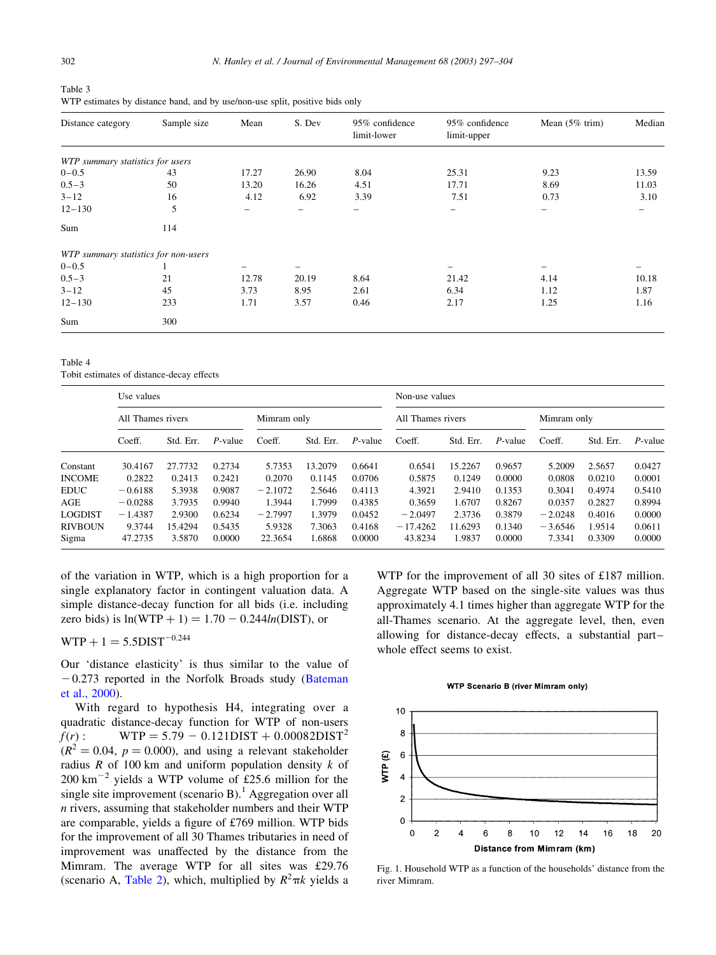| Table 3                                                                      |  |
|------------------------------------------------------------------------------|--|
| WTP estimates by distance band, and by use/non-use split, positive bids only |  |

| Distance category                    | Sample size | Mean  | S. Dev                   | 95% confidence<br>limit-lower | 95% confidence<br>limit-upper | Mean $(5\% \text{ trim})$ | Median |
|--------------------------------------|-------------|-------|--------------------------|-------------------------------|-------------------------------|---------------------------|--------|
| WTP summary statistics for users     |             |       |                          |                               |                               |                           |        |
| $0 - 0.5$                            | 43          | 17.27 | 26.90                    | 8.04                          | 25.31                         | 9.23                      | 13.59  |
| $0.5 - 3$                            | 50          | 13.20 | 16.26                    | 4.51                          | 17.71                         | 8.69                      | 11.03  |
| $3 - 12$                             | 16          | 4.12  | 6.92                     | 3.39                          | 7.51                          | 0.73                      | 3.10   |
| $12 - 130$                           | 5           |       |                          | $\overline{\phantom{0}}$      | $\overline{\phantom{0}}$      |                           |        |
| Sum                                  | 114         |       |                          |                               |                               |                           |        |
| WTP summary statistics for non-users |             |       |                          |                               |                               |                           |        |
| $0 - 0.5$                            |             |       | $\overline{\phantom{0}}$ |                               |                               |                           |        |
| $0.5 - 3$                            | 21          | 12.78 | 20.19                    | 8.64                          | 21.42                         | 4.14                      | 10.18  |
| $3 - 12$                             | 45          | 3.73  | 8.95                     | 2.61                          | 6.34                          | 1.12                      | 1.87   |
| $12 - 130$                           | 233         | 1.71  | 3.57                     | 0.46                          | 2.17                          | 1.25                      | 1.16   |
| Sum                                  | 300         |       |                          |                               |                               |                           |        |

Table 4 Tobit estimates of distance-decay effects

|                | Use values                       |           |            |           |           |                   | Non-use values |           |             |           |           |         |
|----------------|----------------------------------|-----------|------------|-----------|-----------|-------------------|----------------|-----------|-------------|-----------|-----------|---------|
|                | All Thames rivers<br>Mimram only |           |            |           |           | All Thames rivers |                |           | Mimram only |           |           |         |
|                | Coeff.                           | Std. Err. | $P$ -value | Coeff.    | Std. Err. | $P$ -value        | Coeff.         | Std. Err. | $P$ -value  | Coeff.    | Std. Err. | P-value |
| Constant       | 30.4167                          | 27.7732   | 0.2734     | 5.7353    | 13.2079   | 0.6641            | 0.6541         | 15.2267   | 0.9657      | 5.2009    | 2.5657    | 0.0427  |
| <b>INCOME</b>  | 0.2822                           | 0.2413    | 0.2421     | 0.2070    | 0.1145    | 0.0706            | 0.5875         | 0.1249    | 0.0000      | 0.0808    | 0.0210    | 0.0001  |
| <b>EDUC</b>    | $-0.6188$                        | 5.3938    | 0.9087     | $-2.1072$ | 2.5646    | 0.4113            | 4.3921         | 2.9410    | 0.1353      | 0.3041    | 0.4974    | 0.5410  |
| AGE            | $-0.0288$                        | 3.7935    | 0.9940     | 1.3944    | 1.7999    | 0.4385            | 0.3659         | 1.6707    | 0.8267      | 0.0357    | 0.2827    | 0.8994  |
| <b>LOGDIST</b> | $-1.4387$                        | 2.9300    | 0.6234     | $-2.7997$ | 1.3979    | 0.0452            | $-2.0497$      | 2.3736    | 0.3879      | $-2.0248$ | 0.4016    | 0.0000  |
| <b>RIVBOUN</b> | 9.3744                           | 15.4294   | 0.5435     | 5.9328    | 7.3063    | 0.4168            | $-17.4262$     | 11.6293   | 0.1340      | $-3.6546$ | 1.9514    | 0.0611  |
| Sigma          | 47.2735                          | 3.5870    | 0.0000     | 22.3654   | 1.6868    | 0.0000            | 43.8234        | 1.9837    | 0.0000      | 7.3341    | 0.3309    | 0.0000  |

of the variation in WTP, which is a high proportion for a single explanatory factor in contingent valuation data. A simple distance-decay function for all bids (i.e. including zero bids) is  $ln(WTP + 1) = 1.70 - 0.244ln(DIST)$ , or

 $WTP + 1 = 5.5$ DIST<sup> $-0.244$ </sup>

Our 'distance elasticity' is thus similar to the value of  $-0.273$  reported in the Norfolk Broads study [\(Bateman](#page-7-0) [et al., 2000](#page-7-0)).

<span id="page-5-0"></span>With regard to hypothesis H4, integrating over a quadratic distance-decay function for WTP of non-users  $f(r):$  WTP = 5.79 - 0.121DIST + 0.00082DIST<sup>2</sup>  $(R^2 = 0.04, p = 0.000)$ , and using a relevant stakeholder radius  $R$  of 100 km and uniform population density  $k$  of  $200 \text{ km}^{-2}$  yields a WTP volume of £25.6 million for the single site improvement (scenario B).<sup>1</sup> Aggregation over all n rivers, assuming that stakeholder numbers and their WTP are comparable, yields a figure of £769 million. WTP bids for the improvement of all 30 Thames tributaries in need of improvement was unaffected by the distance from the Mimram. The average WTP for all sites was £29.76 (scenario A, [Table 2](#page-4-0)), which, multiplied by  $R^2\pi k$  yields a

WTP for the improvement of all 30 sites of £187 million. Aggregate WTP based on the single-site values was thus approximately 4.1 times higher than aggregate WTP for the all-Thames scenario. At the aggregate level, then, even allowing for distance-decay effects, a substantial part – whole effect seems to exist.





Fig. 1. Household WTP as a function of the households' distance from the river Mimram.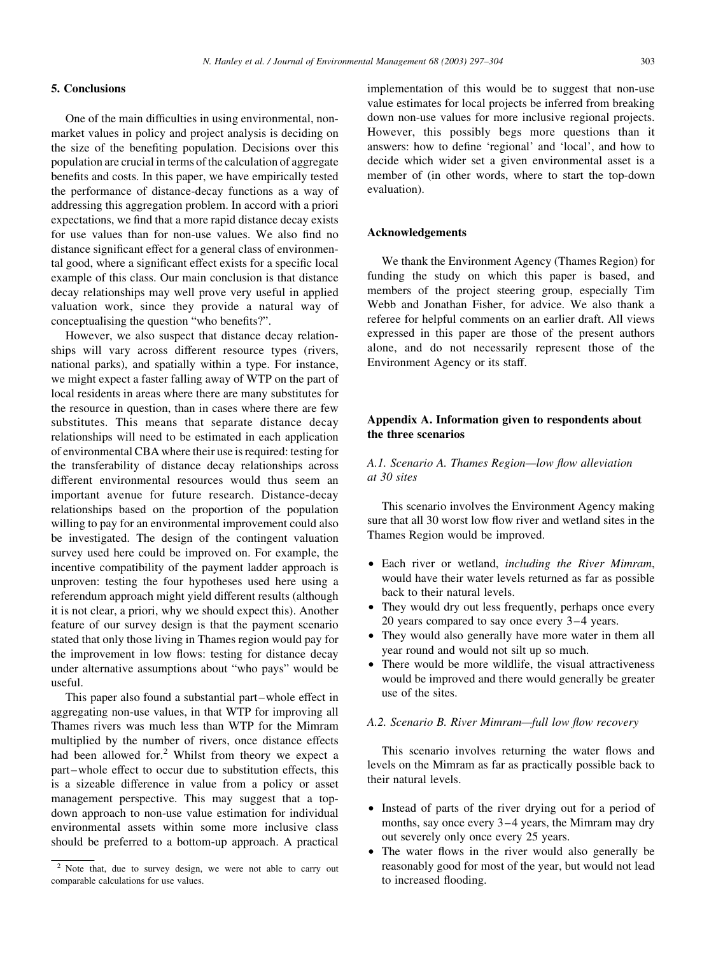One of the main difficulties in using environmental, nonmarket values in policy and project analysis is deciding on the size of the benefiting population. Decisions over this population are crucial in terms of the calculation of aggregate benefits and costs. In this paper, we have empirically tested the performance of distance-decay functions as a way of addressing this aggregation problem. In accord with a priori expectations, we find that a more rapid distance decay exists for use values than for non-use values. We also find no distance significant effect for a general class of environmental good, where a significant effect exists for a specific local example of this class. Our main conclusion is that distance decay relationships may well prove very useful in applied valuation work, since they provide a natural way of conceptualising the question "who benefits?".

However, we also suspect that distance decay relationships will vary across different resource types (rivers, national parks), and spatially within a type. For instance, we might expect a faster falling away of WTP on the part of local residents in areas where there are many substitutes for the resource in question, than in cases where there are few substitutes. This means that separate distance decay relationships will need to be estimated in each application of environmental CBA where their use is required: testing for the transferability of distance decay relationships across different environmental resources would thus seem an important avenue for future research. Distance-decay relationships based on the proportion of the population willing to pay for an environmental improvement could also be investigated. The design of the contingent valuation survey used here could be improved on. For example, the incentive compatibility of the payment ladder approach is unproven: testing the four hypotheses used here using a referendum approach might yield different results (although it is not clear, a priori, why we should expect this). Another feature of our survey design is that the payment scenario stated that only those living in Thames region would pay for the improvement in low flows: testing for distance decay under alternative assumptions about "who pays" would be useful.

This paper also found a substantial part –whole effect in aggregating non-use values, in that WTP for improving all Thames rivers was much less than WTP for the Mimram multiplied by the number of rivers, once distance effects had been allowed for.<sup>2</sup> Whilst from theory we expect a part –whole effect to occur due to substitution effects, this is a sizeable difference in value from a policy or asset management perspective. This may suggest that a topdown approach to non-use value estimation for individual environmental assets within some more inclusive class should be preferred to a bottom-up approach. A practical

<sup>2</sup> Note that, due to survey design, we were not able to carry out comparable calculations for use values.

implementation of this would be to suggest that non-use value estimates for local projects be inferred from breaking down non-use values for more inclusive regional projects. However, this possibly begs more questions than it answers: how to define 'regional' and 'local', and how to decide which wider set a given environmental asset is a member of (in other words, where to start the top-down evaluation).

# Acknowledgements

We thank the Environment Agency (Thames Region) for funding the study on which this paper is based, and members of the project steering group, especially Tim Webb and Jonathan Fisher, for advice. We also thank a referee for helpful comments on an earlier draft. All views expressed in this paper are those of the present authors alone, and do not necessarily represent those of the Environment Agency or its staff.

# Appendix A. Information given to respondents about the three scenarios

# A.1. Scenario A. Thames Region—low flow alleviation at 30 sites

This scenario involves the Environment Agency making sure that all 30 worst low flow river and wetland sites in the Thames Region would be improved.

- Each river or wetland, *including the River Mimram*, would have their water levels returned as far as possible back to their natural levels.
- They would dry out less frequently, perhaps once every 20 years compared to say once every 3 –4 years.
- They would also generally have more water in them all year round and would not silt up so much.
- There would be more wildlife, the visual attractiveness would be improved and there would generally be greater use of the sites.

### A.2. Scenario B. River Mimram—full low flow recovery

This scenario involves returning the water flows and levels on the Mimram as far as practically possible back to their natural levels.

- Instead of parts of the river drying out for a period of months, say once every 3–4 years, the Mimram may dry out severely only once every 25 years.
- The water flows in the river would also generally be reasonably good for most of the year, but would not lead to increased flooding.